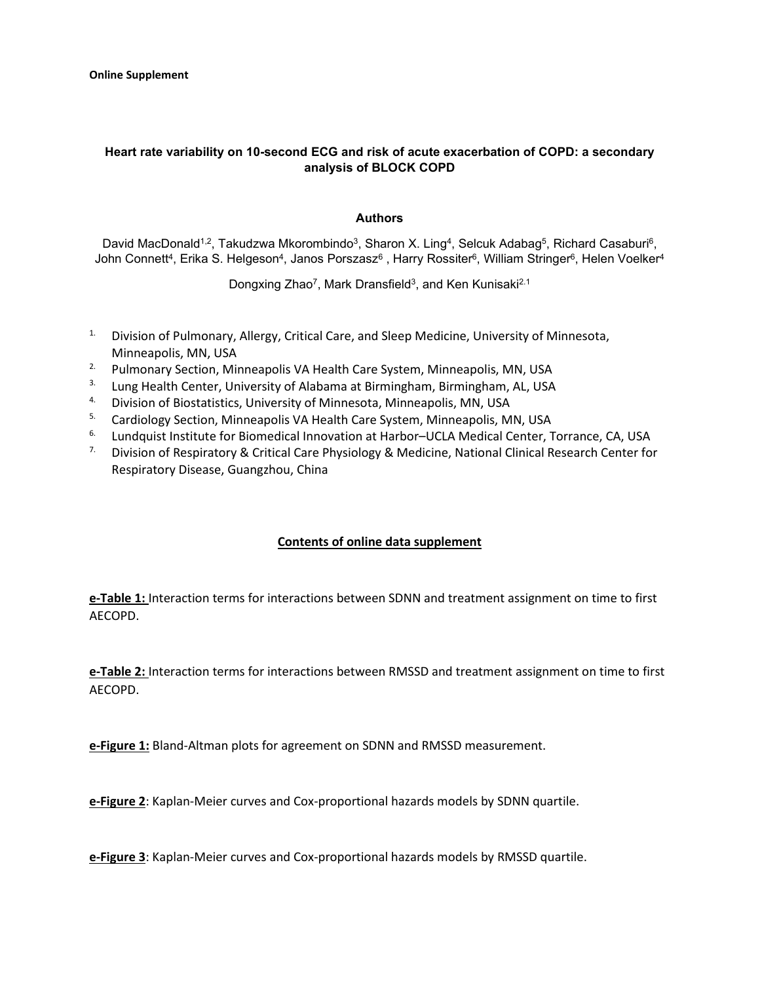## **Heart rate variability on 10-second ECG and risk of acute exacerbation of COPD: a secondary analysis of BLOCK COPD**

## **Authors**

David MacDonald<sup>1,2</sup>, Takudzwa Mkorombindo<sup>3</sup>, Sharon X. Ling<sup>4</sup>, Selcuk Adabag<sup>5</sup>, Richard Casaburi<sup>6</sup>, John Connett<sup>4</sup>, Erika S. Helgeson<sup>4</sup>, Janos Porszasz<sup>6</sup>, Harry Rossiter<sup>6</sup>, William Stringer<sup>6</sup>, Helen Voelker<sup>4</sup>

Dongxing Zhao<sup>7</sup>, Mark Dransfield<sup>3</sup>, and Ken Kunisaki<sup>2.1</sup>

- <sup>1.</sup> Division of Pulmonary, Allergy, Critical Care, and Sleep Medicine, University of Minnesota,
- Minneapolis, MN, USA<br><sup>2.</sup> Pulmonary Section, Minneapolis VA Health Care System, Minneapolis, MN, USA
- 3. Lung Health Center, University of Alabama at Birmingham, Birmingham, AL, USA
- 4. Division of Biostatistics, University of Minnesota, Minneapolis, MN, USA
- <sup>5.</sup> Cardiology Section, Minneapolis VA Health Care System, Minneapolis, MN, USA
- <sup>6.</sup> Lundquist Institute for Biomedical Innovation at Harbor–UCLA Medical Center, Torrance, CA, USA
- <sup>7.</sup> Division of Respiratory & Critical Care Physiology & Medicine, National Clinical Research Center for Respiratory Disease, Guangzhou, China

## **Contents of online data supplement**

**e-Table 1:** Interaction terms for interactions between SDNN and treatment assignment on time to first AECOPD.

**e-Table 2:** Interaction terms for interactions between RMSSD and treatment assignment on time to first AECOPD.

**e-Figure 1:** Bland-Altman plots for agreement on SDNN and RMSSD measurement.

**e-Figure 2**: Kaplan-Meier curves and Cox-proportional hazards models by SDNN quartile.

**e-Figure 3**: Kaplan-Meier curves and Cox-proportional hazards models by RMSSD quartile.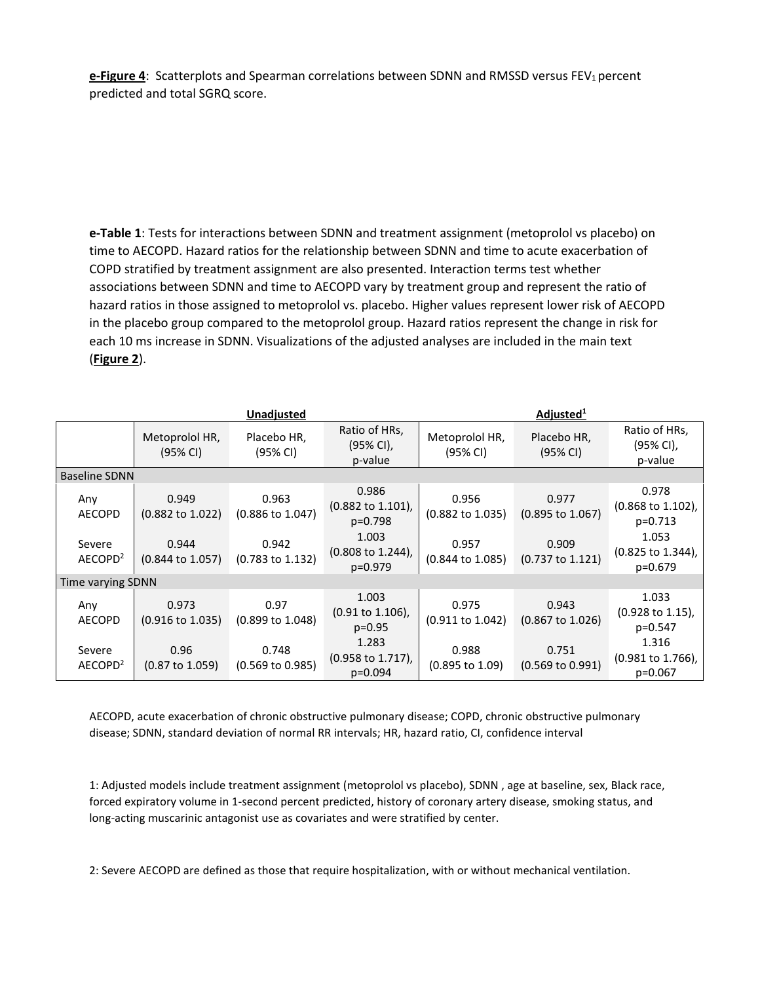**e-Figure 4**: Scatterplots and Spearman correlations between SDNN and RMSSD versus FEV<sub>1</sub> percent predicted and total SGRQ score.

**e-Table 1**: Tests for interactions between SDNN and treatment assignment (metoprolol vs placebo) on time to AECOPD. Hazard ratios for the relationship between SDNN and time to acute exacerbation of COPD stratified by treatment assignment are also presented. Interaction terms test whether associations between SDNN and time to AECOPD vary by treatment group and represent the ratio of hazard ratios in those assigned to metoprolol vs. placebo. Higher values represent lower risk of AECOPD in the placebo group compared to the metoprolol group. Hazard ratios represent the change in risk for each 10 ms increase in SDNN. Visualizations of the adjusted analyses are included in the main text (**Figure 2**).

|                                                       |                                                                              | Unadjusted                                                                   | Adjusted <sup>1</sup>                                                                                  |                                                                              |                                                                              |                                                                                                       |
|-------------------------------------------------------|------------------------------------------------------------------------------|------------------------------------------------------------------------------|--------------------------------------------------------------------------------------------------------|------------------------------------------------------------------------------|------------------------------------------------------------------------------|-------------------------------------------------------------------------------------------------------|
|                                                       | Metoprolol HR,<br>$(95% \text{ Cl})$                                         | Placebo HR,<br>(95% CI)                                                      | Ratio of HRs,<br>(95% CI),<br>p-value                                                                  | Metoprolol HR,<br>$(95% \text{ Cl})$                                         | Placebo HR,<br>$(95% \text{ Cl})$                                            | Ratio of HRs,<br>(95% CI),<br>p-value                                                                 |
| <b>Baseline SDNN</b>                                  |                                                                              |                                                                              |                                                                                                        |                                                                              |                                                                              |                                                                                                       |
| Any<br><b>AECOPD</b><br>Severe<br>AECOPD <sup>2</sup> | 0.949<br>$(0.882 \text{ to } 1.022)$<br>0.944<br>$(0.844 \text{ to } 1.057)$ | 0.963<br>$(0.886 \text{ to } 1.047)$<br>0.942<br>$(0.783 \text{ to } 1.132)$ | 0.986<br>$(0.882 \text{ to } 1.101)$ ,<br>p=0.798<br>1.003<br>$(0.808 \text{ to } 1.244)$ ,<br>p=0.979 | 0.956<br>$(0.882 \text{ to } 1.035)$<br>0.957<br>$(0.844 \text{ to } 1.085)$ | 0.977<br>$(0.895 \text{ to } 1.067)$<br>0.909<br>$(0.737 \text{ to } 1.121)$ | 0.978<br>$(0.868 \text{ to } 1.102),$<br>p=0.713<br>1.053<br>$(0.825 \text{ to } 1.344)$ ,<br>p=0.679 |
| Time varying SDNN                                     |                                                                              |                                                                              |                                                                                                        |                                                                              |                                                                              |                                                                                                       |
| Any<br><b>AECOPD</b>                                  | 0.973<br>$(0.916 \text{ to } 1.035)$                                         | 0.97<br>$(0.899$ to $1.048)$                                                 | 1.003<br>$(0.91 \text{ to } 1.106)$ ,<br>$p=0.95$                                                      | 0.975<br>$(0.911$ to 1.042)                                                  | 0.943<br>$(0.867 \text{ to } 1.026)$                                         | 1.033<br>$(0.928 \text{ to } 1.15)$ ,<br>p=0.547                                                      |
| Severe<br>AECOPD <sup>2</sup>                         | 0.96<br>$(0.87 \text{ to } 1.059)$                                           | 0.748<br>$(0.569 \text{ to } 0.985)$                                         | 1.283<br>$(0.958 \text{ to } 1.717)$ ,<br>p=0.094                                                      | 0.988<br>$(0.895 \text{ to } 1.09)$                                          | 0.751<br>$(0.569 \text{ to } 0.991)$                                         | 1.316<br>(0.981 to 1.766),<br>$p=0.067$                                                               |

AECOPD, acute exacerbation of chronic obstructive pulmonary disease; COPD, chronic obstructive pulmonary disease; SDNN, standard deviation of normal RR intervals; HR, hazard ratio, CI, confidence interval

1: Adjusted models include treatment assignment (metoprolol vs placebo), SDNN , age at baseline, sex, Black race, forced expiratory volume in 1-second percent predicted, history of coronary artery disease, smoking status, and long-acting muscarinic antagonist use as covariates and were stratified by center.

2: Severe AECOPD are defined as those that require hospitalization, with or without mechanical ventilation.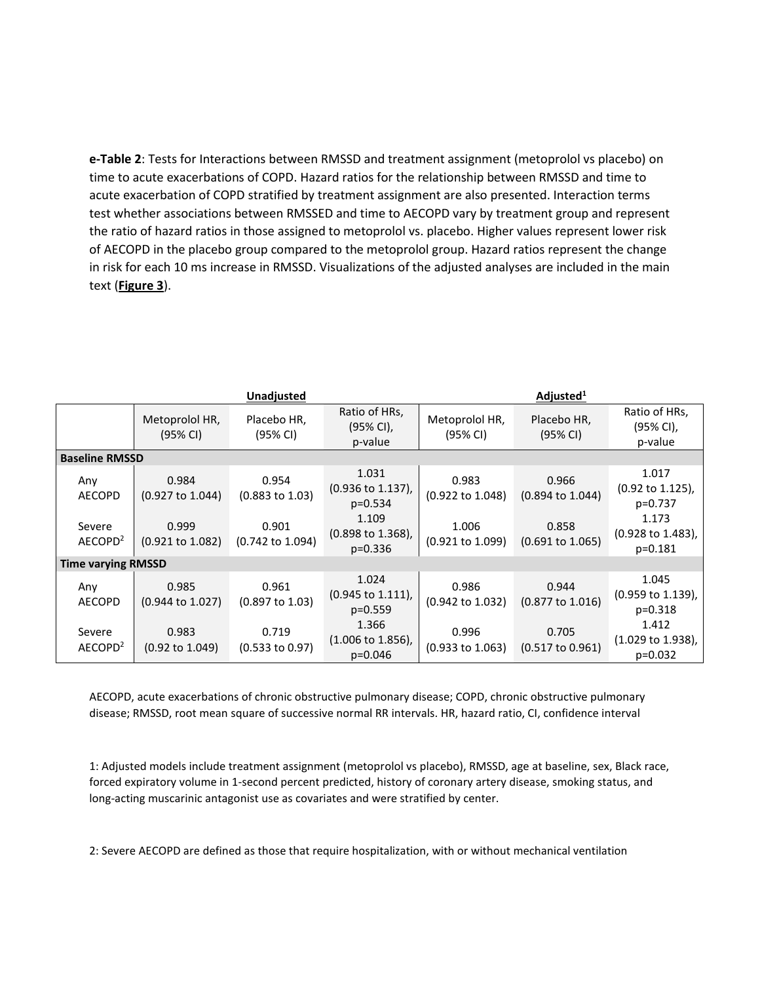**e-Table 2**: Tests for Interactions between RMSSD and treatment assignment (metoprolol vs placebo) on time to acute exacerbations of COPD. Hazard ratios for the relationship between RMSSD and time to acute exacerbation of COPD stratified by treatment assignment are also presented. Interaction terms test whether associations between RMSSED and time to AECOPD vary by treatment group and represent the ratio of hazard ratios in those assigned to metoprolol vs. placebo. Higher values represent lower risk of AECOPD in the placebo group compared to the metoprolol group. Hazard ratios represent the change in risk for each 10 ms increase in RMSSD. Visualizations of the adjusted analyses are included in the main text (**Figure 3**).

|                                |                                               | Unadjusted                                   | Adjusted <sup>1</sup>                                                                         |                                               |                                               |                                                                                           |
|--------------------------------|-----------------------------------------------|----------------------------------------------|-----------------------------------------------------------------------------------------------|-----------------------------------------------|-----------------------------------------------|-------------------------------------------------------------------------------------------|
|                                | Metoprolol HR,<br>(95% CI)                    | Placebo HR,<br>(95% CI)                      | Ratio of HRs,<br>(95% CI),<br>p-value                                                         | Metoprolol HR,<br>(95% CI)                    | Placebo HR,<br>$(95% \text{ Cl})$             | Ratio of HRs,<br>(95% CI),<br>p-value                                                     |
| <b>Baseline RMSSD</b>          |                                               |                                              |                                                                                               |                                               |                                               |                                                                                           |
| Any<br><b>AECOPD</b><br>Severe | 0.984<br>$(0.927 \text{ to } 1.044)$<br>0.999 | 0.954<br>$(0.883 \text{ to } 1.03)$<br>0.901 | 1.031<br>$(0.936 \text{ to } 1.137)$ ,<br>$p=0.534$<br>1.109<br>$(0.898 \text{ to } 1.368)$ , | 0.983<br>$(0.922 \text{ to } 1.048)$<br>1.006 | 0.966<br>$(0.894 \text{ to } 1.044)$<br>0.858 | 1.017<br>$(0.92 \text{ to } 1.125)$ ,<br>p=0.737<br>1.173<br>$(0.928 \text{ to } 1.483),$ |
| AECOPD <sup>2</sup>            | $(0.921 \text{ to } 1.082)$                   | $(0.742 \text{ to } 1.094)$                  | $p=0.336$                                                                                     | $(0.921 \text{ to } 1.099)$                   | $(0.691 \text{ to } 1.065)$                   | $p=0.181$                                                                                 |
| <b>Time varying RMSSD</b>      |                                               |                                              |                                                                                               |                                               |                                               |                                                                                           |
| Any<br><b>AECOPD</b>           | 0.985<br>$(0.944 \text{ to } 1.027)$          | 0.961<br>$(0.897 \text{ to } 1.03)$          | 1.024<br>$(0.945 \text{ to } 1.111),$<br>$p=0.559$                                            | 0.986<br>$(0.942 \text{ to } 1.032)$          | 0.944<br>$(0.877 \text{ to } 1.016)$          | 1.045<br>$(0.959 \text{ to } 1.139)$ ,<br>$p=0.318$                                       |
| Severe<br>AECOPD <sup>2</sup>  | 0.983<br>$(0.92 \text{ to } 1.049)$           | 0.719<br>$(0.533$ to $0.97)$                 | 1.366<br>$(1.006 \text{ to } 1.856)$ ,<br>$p = 0.046$                                         | 0.996<br>$(0.933$ to 1.063)                   | 0.705<br>$(0.517 \text{ to } 0.961)$          | 1.412<br>$(1.029 \text{ to } 1.938)$ ,<br>$p=0.032$                                       |

AECOPD, acute exacerbations of chronic obstructive pulmonary disease; COPD, chronic obstructive pulmonary disease; RMSSD, root mean square of successive normal RR intervals. HR, hazard ratio, CI, confidence interval

1: Adjusted models include treatment assignment (metoprolol vs placebo), RMSSD, age at baseline, sex, Black race, forced expiratory volume in 1-second percent predicted, history of coronary artery disease, smoking status, and long-acting muscarinic antagonist use as covariates and were stratified by center.

2: Severe AECOPD are defined as those that require hospitalization, with or without mechanical ventilation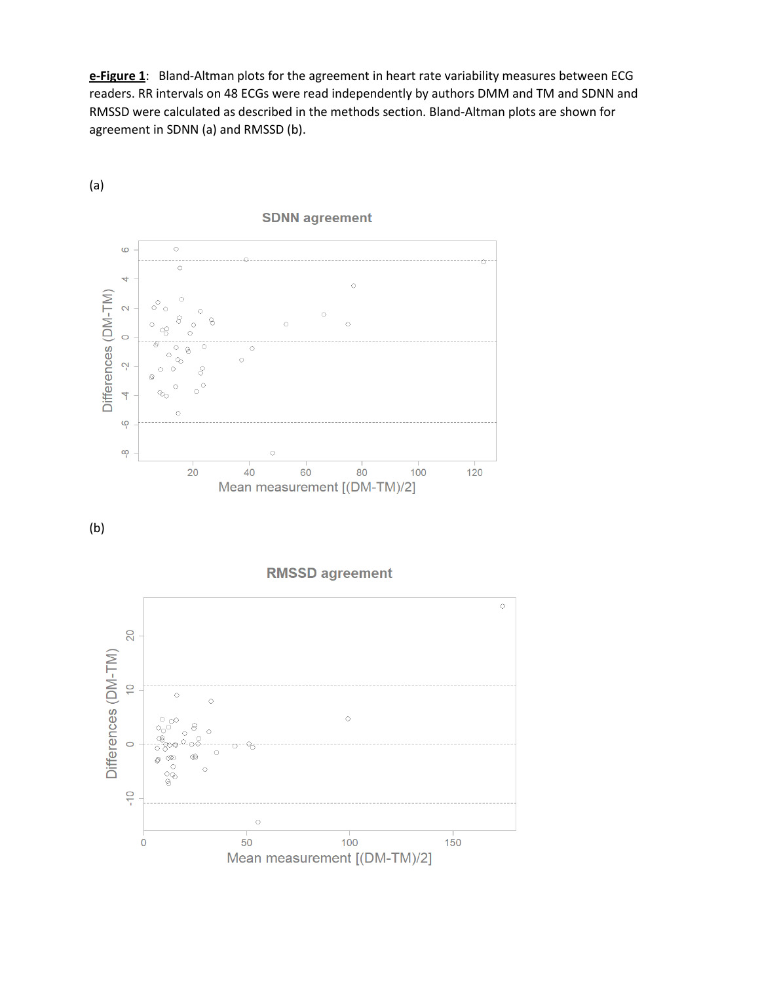**e-Figure 1**: Bland-Altman plots for the agreement in heart rate variability measures between ECG readers. RR intervals on 48 ECGs were read independently by authors DMM and TM and SDNN and RMSSD were calculated as described in the methods section. Bland-Altman plots are shown for agreement in SDNN (a) and RMSSD (b).



(a)

## **SDNN** agreement





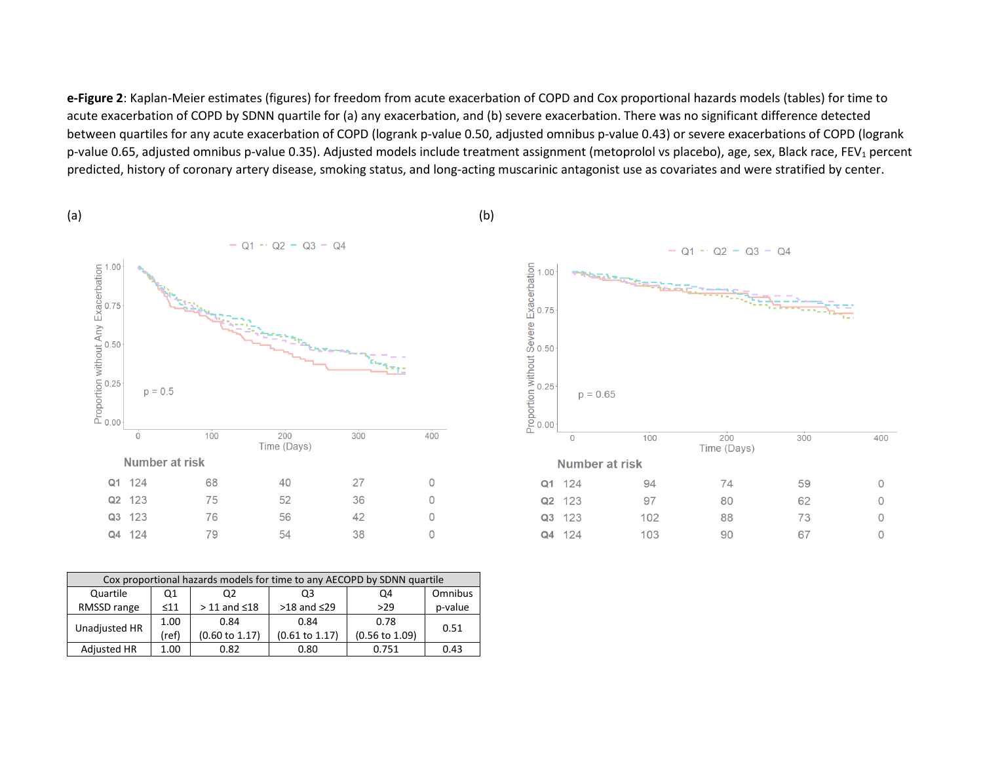**e-Figure 2**: Kaplan-Meier estimates (figures) for freedom from acute exacerbation of COPD and Cox proportional hazards models (tables) for time to acute exacerbation of COPD by SDNN quartile for (a) any exacerbation, and (b) severe exacerbation. There was no significant difference detected between quartiles for any acute exacerbation of COPD (logrank p-value 0.50, adjusted omnibus p-value 0.43) or severe exacerbations of COPD (logrank p-value 0.65, adjusted omnibus p-value 0.35). Adjusted models include treatment assignment (metoprolol vs placebo), age, sex, Black race, FEV<sub>1</sub> percent predicted, history of coronary artery disease, smoking status, and long-acting muscarinic antagonist use as covariates and were stratified by center.



| Cox proportional hazards models for time to any AECOPD by SDNN quartile |           |                           |                           |                           |         |  |  |
|-------------------------------------------------------------------------|-----------|---------------------------|---------------------------|---------------------------|---------|--|--|
| Quartile                                                                | Q1        | Q2                        | Q3                        | Q4                        | Omnibus |  |  |
| RMSSD range                                                             | $\leq 11$ | $> 11$ and $\leq 18$      | $>18$ and $\leq$ 29       | >29                       | p-value |  |  |
| Unadjusted HR                                                           | 1.00      | 0.84                      | 0.84                      | 0.78                      | 0.51    |  |  |
|                                                                         | (ref)     | $(0.60 \text{ to } 1.17)$ | $(0.61 \text{ to } 1.17)$ | $(0.56 \text{ to } 1.09)$ |         |  |  |
| <b>Adjusted HR</b>                                                      | 1.00      | 0.82                      | 0.80                      | 0.751                     | 0.43    |  |  |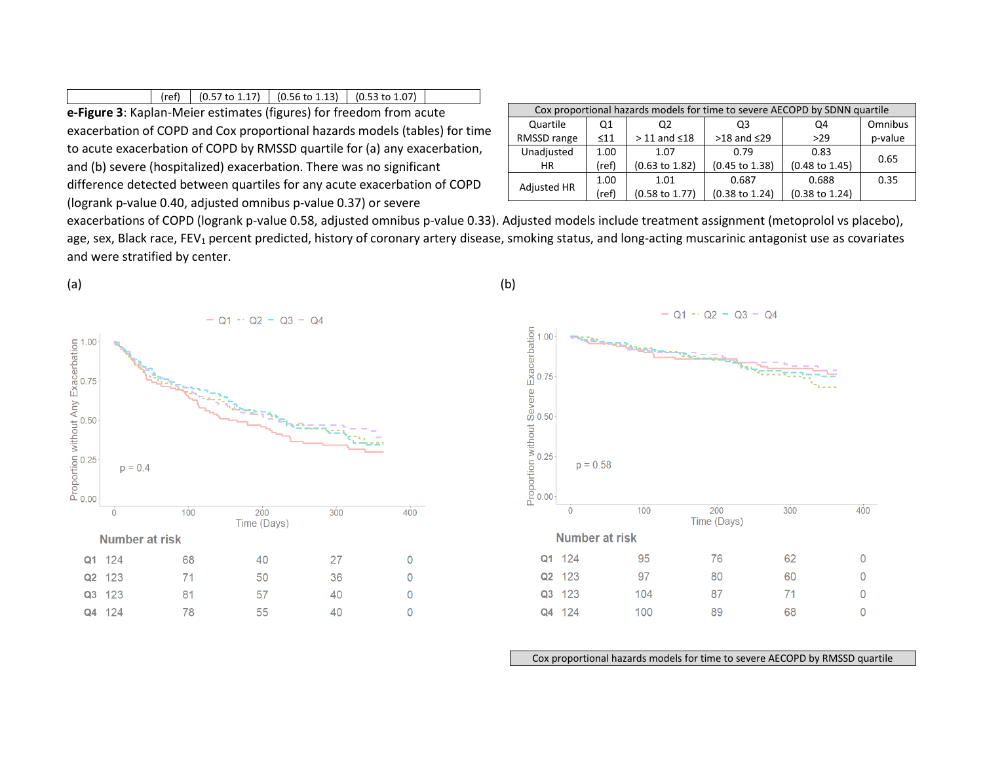|                                                                     |  |  |  | (ref) $(0.57 \text{ to } 1.17)$ $(0.56 \text{ to } 1.13)$ $(0.53 \text{ to } 1.07)$ |  |  |  |
|---------------------------------------------------------------------|--|--|--|-------------------------------------------------------------------------------------|--|--|--|
| e-Figure 3: Kaplan-Meier estimates (figures) for freedom from acute |  |  |  |                                                                                     |  |  |  |

exacerbation of COPD and Cox proportional hazards models (tables) for time to acute exacerbation of COPD by RMSSD quartile for (a) any exacerbation, and (b) severe (hospitalized) exacerbation. There was no significant difference detected between quartiles for any acute exacerbation of COPD (logrank p-value 0.40, adjusted omnibus p-value 0.37) or severe

| Cox proportional hazards models for time to severe AECOPD by SDNN quartile |           |                           |                           |                           |         |  |  |  |
|----------------------------------------------------------------------------|-----------|---------------------------|---------------------------|---------------------------|---------|--|--|--|
| Quartile                                                                   | Q1        | 02                        | O <sub>3</sub>            | Q4                        | Omnibus |  |  |  |
| RMSSD range                                                                | $\leq 11$ | $>$ 11 and $\leq$ 18      | $>18$ and $\leq$ 29       | >29                       | p-value |  |  |  |
| Unadjusted                                                                 | 1.00      | 1.07                      | 0.79                      | 0.83                      |         |  |  |  |
| <b>HR</b>                                                                  | (ref)     | $(0.63 \text{ to } 1.82)$ | (0.45 to 1.38)            | $(0.48 \text{ to } 1.45)$ | 0.65    |  |  |  |
|                                                                            | 1.00      | 1.01                      | 0.687                     | 0.688                     | 0.35    |  |  |  |
| Adjusted HR                                                                | (ref)     | $(0.58 \text{ to } 1.77)$ | $(0.38 \text{ to } 1.24)$ | $(0.38 \text{ to } 1.24)$ |         |  |  |  |

exacerbations of COPD (logrank p-value 0.58, adjusted omnibus p-value 0.33). Adjusted models include treatment assignment (metoprolol vs placebo), age, sex, Black race, FEV<sub>1</sub> percent predicted, history of coronary artery disease, smoking status, and long-acting muscarinic antagonist use as covariates and were stratified by center.





Cox proportional hazards models for time to severe AECOPD by RMSSD quartile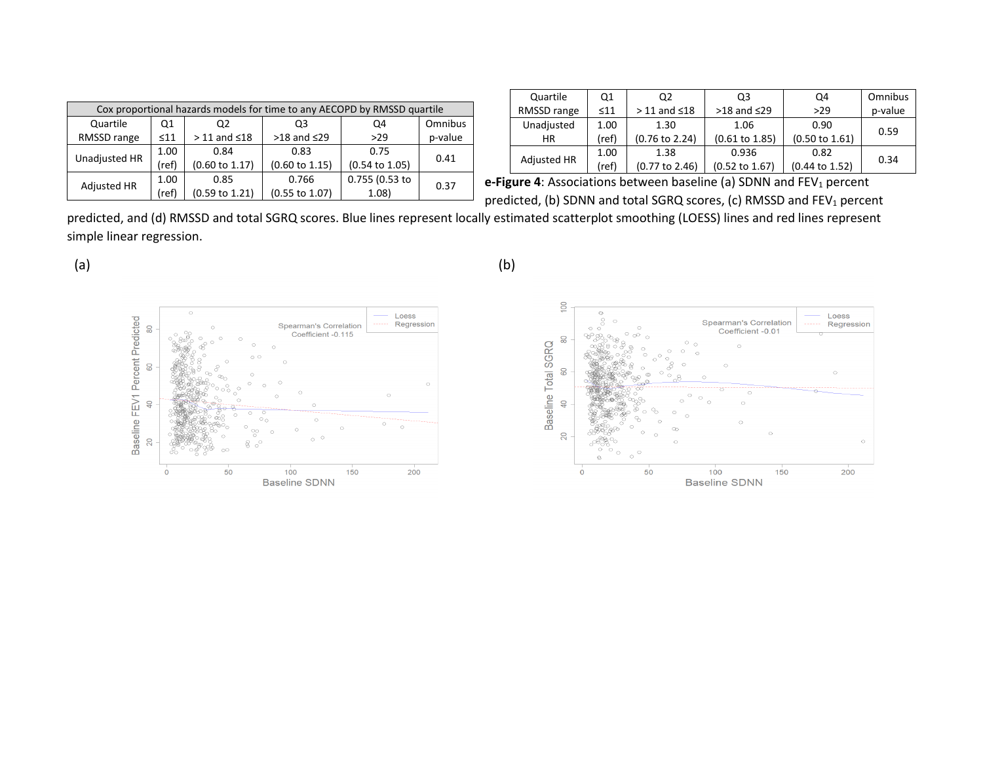| Cox proportional hazards models for time to any AECOPD by RMSSD quartile |           |                           |                           |                           |         |  |  |
|--------------------------------------------------------------------------|-----------|---------------------------|---------------------------|---------------------------|---------|--|--|
| Quartile                                                                 | Q1        | Q2                        | Q3                        | Q4                        | Omnibus |  |  |
| RMSSD range                                                              | $\leq 11$ | $>$ 11 and $\leq$ 18      | $>18$ and $\leq$ 29       | >29                       | p-value |  |  |
| Unadjusted HR                                                            | 1.00      | 0.84                      | 0.83                      | 0.75                      | 0.41    |  |  |
|                                                                          | ref)      | $(0.60 \text{ to } 1.17)$ | $(0.60 \text{ to } 1.15)$ | $(0.54 \text{ to } 1.05)$ |         |  |  |
| Adjusted HR                                                              | 1.00      | 0.85                      | 0.766                     | 0.755 (0.53 to            | 0.37    |  |  |
|                                                                          | ref)      | (0.59 to 1.21)            | $(0.55$ to $1.07)$        | 1.08                      |         |  |  |

| Quartile           | Q1        | Q2                        | Q3                        | Q4                        | Omnibus |
|--------------------|-----------|---------------------------|---------------------------|---------------------------|---------|
| RMSSD range        | $\leq 11$ | $>$ 11 and $\leq$ 18      | $>18$ and $\leq$ 29       | >29                       | p-value |
| Unadjusted         | 1.00      | 1.30                      | 1.06                      | 0.90                      | 0.59    |
| ΗR                 | (ref)     | $(0.76 \text{ to } 2.24)$ | $(0.61 \text{ to } 1.85)$ | $(0.50 \text{ to } 1.61)$ |         |
|                    | 1.00      | 1.38                      | 0.936                     | 0.82                      | 0.34    |
| <b>Adjusted HR</b> | (ref)     | (0.77 to 2.46)            | $(0.52 \text{ to } 1.67)$ | $(0.44 \text{ to } 1.52)$ |         |

**e-Figure 4**: Associations between baseline (a) SDNN and FEV<sub>1</sub> percent predicted, (b) SDNN and total SGRQ scores, (c) RMSSD and FEV<sub>1</sub> percent

predicted, and (d) RMSSD and total SGRQ scores. Blue lines represent locally estimated scatterplot smoothing (LOESS) lines and red lines represent simple linear regression.





 $(a)$  (b)